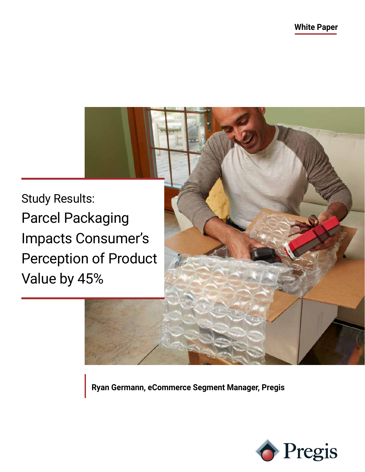Study Results: Parcel Packaging Impacts Consumer's Perception of Product Value by 45%

**Ryan Germann, eCommerce Segment Manager, Pregis**

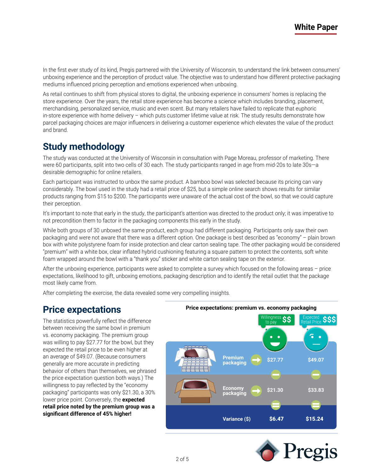In the first ever study of its kind, Pregis partnered with the University of Wisconsin, to understand the link between consumers' unboxing experience and the perception of product value. The objective was to understand how different protective packaging mediums influenced pricing perception and emotions experienced when unboxing.

As retail continues to shift from physical stores to digital, the unboxing experience in consumers' homes is replacing the store experience. Over the years, the retail store experience has become a science which includes branding, placement, merchandising, personalized service, music and even scent. But many retailers have failed to replicate that euphoric in-store experience with home delivery – which puts customer lifetime value at risk. The study results demonstrate how parcel packaging choices are major influencers in delivering a customer experience which elevates the value of the product and brand.

# **Study methodology**

The study was conducted at the University of Wisconsin in consultation with Page Moreau, professor of marketing. There were 60 participants, split into two cells of 30 each. The study participants ranged in age from mid-20s to late 30s—a desirable demographic for online retailers.

Each participant was instructed to unbox the same product. A bamboo bowl was selected because its pricing can vary considerably. The bowl used in the study had a retail price of \$25, but a simple online search shows results for similar products ranging from \$15 to \$200. The participants were unaware of the actual cost of the bowl, so that we could capture their perception.

It's important to note that early in the study, the participant's attention was directed to the product only; it was imperative to not precondition them to factor in the packaging components this early in the study.

While both groups of 30 unboxed the same product, each group had different packaging. Participants only saw their own packaging and were not aware that there was a different option. One package is best described as "economy" – plain brown box with white polystyrene foam for inside protection and clear carton sealing tape. The other packaging would be considered "premium" with a white box, clear inflated hybrid cushioning featuring a square pattern to protect the contents, soft white foam wrapped around the bowl with a "thank you" sticker and white carton sealing tape on the exterior.

After the unboxing experience, participants were asked to complete a survey which focused on the following areas – price expectations, likelihood to gift, unboxing emotions, packaging description and to identify the retail outlet that the package most likely came from.

After completing the exercise, the data revealed some very compelling insights.

#### **Price expectations**

The statistics powerfully reflect the difference between receiving the same bowl in premium vs. economy packaging. The premium group was willing to pay \$27.77 for the bowl, but they expected the retail price to be even higher at an average of \$49.07. (Because consumers generally are more accurate in predicting behavior of others than themselves, we phrased the price expectation question both ways.) The willingness to pay reflected by the "economy packaging" participants was only \$21.30, a 30% lower price point. Conversely, the **expected retail price noted by the premium group was a significant difference of 45% higher!**



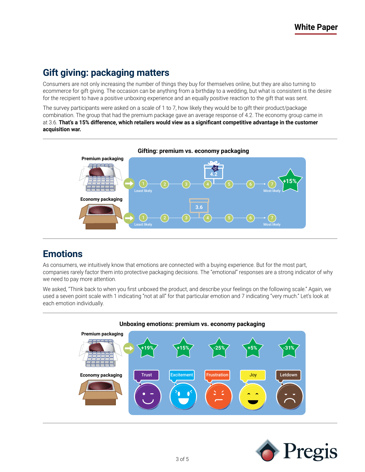# **Gift giving: packaging matters**

Consumers are not only increasing the number of things they buy for themselves online, but they are also turning to ecommerce for gift giving. The occasion can be anything from a birthday to a wedding, but what is consistent is the desire for the recipient to have a positive unboxing experience and an equally positive reaction to the gift that was sent.

The survey participants were asked on a scale of 1 to 7, how likely they would be to gift their product/package combination. The group that had the premium package gave an average response of 4.2. The economy group came in at 3.6. **That's a 15% difference, which retailers would view as a significant competitive advantage in the customer acquisition war.** 



## **Emotions**

As consumers, we intuitively know that emotions are connected with a buying experience. But for the most part, companies rarely factor them into protective packaging decisions. The "emotional" responses are a strong indicator of why we need to pay more attention.

We asked, "Think back to when you first unboxed the product, and describe your feelings on the following scale." Again, we used a seven point scale with 1 indicating "not at all" for that particular emotion and 7 indicating "very much." Let's look at each emotion individually.



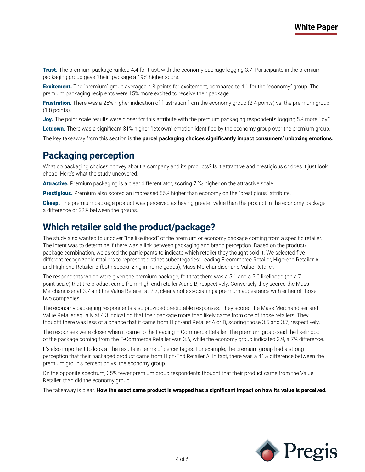**Trust.** The premium package ranked 4.4 for trust, with the economy package logging 3.7. Participants in the premium packaging group gave "their" package a 19% higher score.

**Excitement.** The "premium" group averaged 4.8 points for excitement, compared to 4.1 for the "economy" group. The premium packaging recipients were 15% more excited to receive their package.

**Frustration.** There was a 25% higher indication of frustration from the economy group (2.4 points) vs. the premium group (1.8 points).

**Joy.** The point scale results were closer for this attribute with the premium packaging respondents logging 5% more "joy." Letdown. There was a significant 31% higher "letdown" emotion identified by the economy group over the premium group.

The key takeaway from this section is **the parcel packaging choices significantly impact consumers' unboxing emotions.**

## **Packaging perception**

What do packaging choices convey about a company and its products? Is it attractive and prestigious or does it just look cheap. Here's what the study uncovered.

Attractive. Premium packaging is a clear differentiator, scoring 76% higher on the attractive scale.

**Prestigious.** Premium also scored an impressed 56% higher than economy on the "prestigious" attribute.

Cheap. The premium package product was perceived as having greater value than the product in the economy packagea difference of 32% between the groups.

#### **Which retailer sold the product/package?**

The study also wanted to uncover "the likelihood" of the premium or economy package coming from a specific retailer. The intent was to determine if there was a link between packaging and brand perception. Based on the product/ package combination, we asked the participants to indicate which retailer they thought sold it. We selected five different recognizable retailers to represent distinct subcategories: Leading E-commerce Retailer, High-end Retailer A and High-end Retailer B (both specializing in home goods), Mass Merchandiser and Value Retailer.

The respondents which were given the premium package, felt that there was a 5.1 and a 5.0 likelihood (on a 7 point scale) that the product came from High-end retailer A and B, respectively. Conversely they scored the Mass Merchandiser at 3.7 and the Value Retailer at 2.7, clearly not associating a premium appearance with either of those two companies.

The economy packaging respondents also provided predictable responses. They scored the Mass Merchandiser and Value Retailer equally at 4.3 indicating that their package more than likely came from one of those retailers. They thought there was less of a chance that it came from High-end Retailer A or B, scoring those 3.5 and 3.7, respectively.

The responses were closer when it came to the Leading E-Commerce Retailer. The premium group said the likelihood of the package coming from the E-Commerce Retailer was 3.6, while the economy group indicated 3.9, a 7% difference.

It's also important to look at the results in terms of percentages. For example, the premium group had a strong perception that their packaged product came from High-End Retailer A. In fact, there was a 41% difference between the premium group's perception vs. the economy group.

On the opposite spectrum, 35% fewer premium group respondents thought that their product came from the Value Retailer, than did the economy group.

The takeaway is clear. **How the exact same product is wrapped has a significant impact on how its value is perceived.**